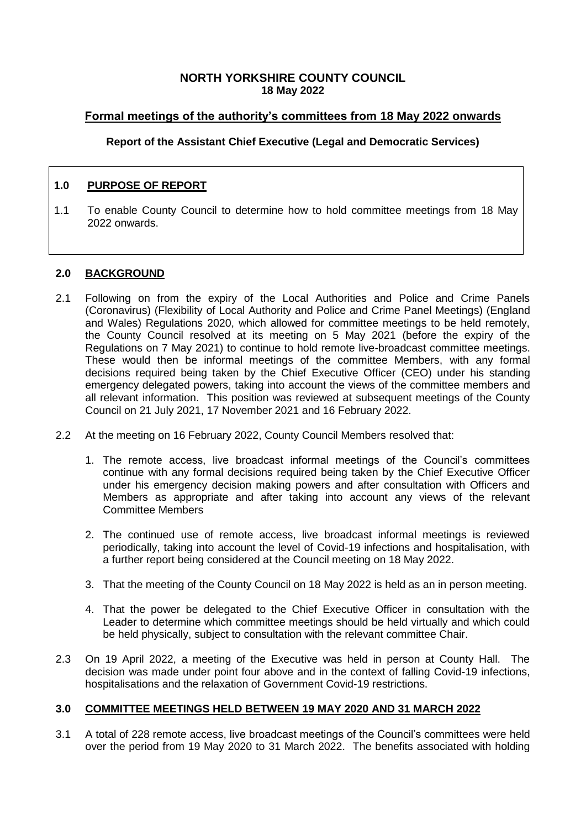## **NORTH YORKSHIRE COUNTY COUNCIL 18 May 2022**

# **Formal meetings of the authority's committees from 18 May 2022 onwards**

## **Report of the Assistant Chief Executive (Legal and Democratic Services)**

## **1.0 PURPOSE OF REPORT**

1.1 To enable County Council to determine how to hold committee meetings from 18 May 2022 onwards.

### **2.0 BACKGROUND**

- 2.1 Following on from the expiry of the Local Authorities and Police and Crime Panels (Coronavirus) (Flexibility of Local Authority and Police and Crime Panel Meetings) (England and Wales) Regulations 2020, which allowed for committee meetings to be held remotely, the County Council resolved at its meeting on 5 May 2021 (before the expiry of the Regulations on 7 May 2021) to continue to hold remote live-broadcast committee meetings. These would then be informal meetings of the committee Members, with any formal decisions required being taken by the Chief Executive Officer (CEO) under his standing emergency delegated powers, taking into account the views of the committee members and all relevant information. This position was reviewed at subsequent meetings of the County Council on 21 July 2021, 17 November 2021 and 16 February 2022.
- 2.2 At the meeting on 16 February 2022, County Council Members resolved that:
	- 1. The remote access, live broadcast informal meetings of the Council's committees continue with any formal decisions required being taken by the Chief Executive Officer under his emergency decision making powers and after consultation with Officers and Members as appropriate and after taking into account any views of the relevant Committee Members
	- 2. The continued use of remote access, live broadcast informal meetings is reviewed periodically, taking into account the level of Covid-19 infections and hospitalisation, with a further report being considered at the Council meeting on 18 May 2022.
	- 3. That the meeting of the County Council on 18 May 2022 is held as an in person meeting.
	- 4. That the power be delegated to the Chief Executive Officer in consultation with the Leader to determine which committee meetings should be held virtually and which could be held physically, subject to consultation with the relevant committee Chair.
- 2.3 On 19 April 2022, a meeting of the Executive was held in person at County Hall. The decision was made under point four above and in the context of falling Covid-19 infections, hospitalisations and the relaxation of Government Covid-19 restrictions.

### **3.0 COMMITTEE MEETINGS HELD BETWEEN 19 MAY 2020 AND 31 MARCH 2022**

3.1 A total of 228 remote access, live broadcast meetings of the Council's committees were held over the period from 19 May 2020 to 31 March 2022. The benefits associated with holding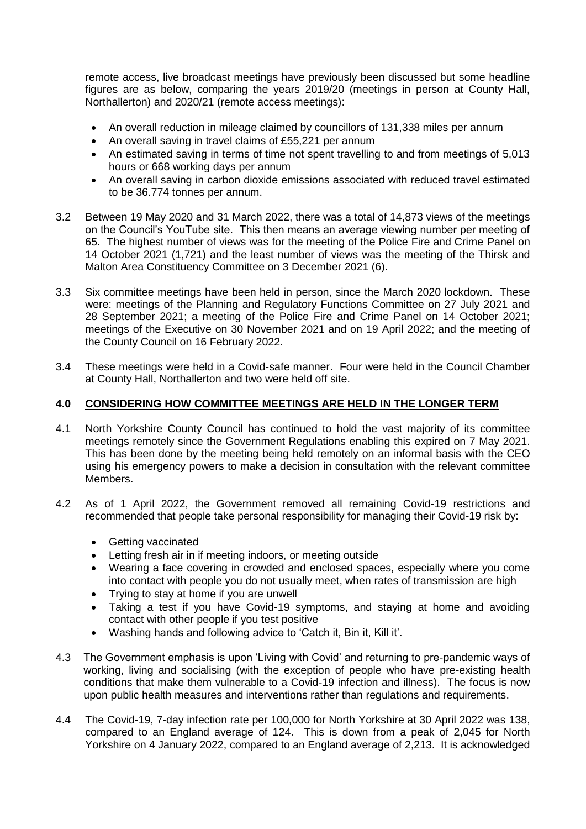remote access, live broadcast meetings have previously been discussed but some headline figures are as below, comparing the years 2019/20 (meetings in person at County Hall, Northallerton) and 2020/21 (remote access meetings):

- An overall reduction in mileage claimed by councillors of 131,338 miles per annum
- An overall saving in travel claims of £55,221 per annum
- An estimated saving in terms of time not spent travelling to and from meetings of 5,013 hours or 668 working days per annum
- An overall saving in carbon dioxide emissions associated with reduced travel estimated to be 36.774 tonnes per annum.
- 3.2 Between 19 May 2020 and 31 March 2022, there was a total of 14,873 views of the meetings on the Council's YouTube site. This then means an average viewing number per meeting of 65. The highest number of views was for the meeting of the Police Fire and Crime Panel on 14 October 2021 (1,721) and the least number of views was the meeting of the Thirsk and Malton Area Constituency Committee on 3 December 2021 (6).
- 3.3 Six committee meetings have been held in person, since the March 2020 lockdown. These were: meetings of the Planning and Regulatory Functions Committee on 27 July 2021 and 28 September 2021; a meeting of the Police Fire and Crime Panel on 14 October 2021; meetings of the Executive on 30 November 2021 and on 19 April 2022; and the meeting of the County Council on 16 February 2022.
- 3.4 These meetings were held in a Covid-safe manner. Four were held in the Council Chamber at County Hall, Northallerton and two were held off site.

### **4.0 CONSIDERING HOW COMMITTEE MEETINGS ARE HELD IN THE LONGER TERM**

- 4.1 North Yorkshire County Council has continued to hold the vast majority of its committee meetings remotely since the Government Regulations enabling this expired on 7 May 2021. This has been done by the meeting being held remotely on an informal basis with the CEO using his emergency powers to make a decision in consultation with the relevant committee Members.
- 4.2 As of 1 April 2022, the Government removed all remaining Covid-19 restrictions and recommended that people take personal responsibility for managing their Covid-19 risk by:
	- Getting vaccinated
	- Letting fresh air in if meeting indoors, or meeting outside
	- Wearing a face covering in crowded and enclosed spaces, especially where you come into contact with people you do not usually meet, when rates of transmission are high
	- Trying to stay at home if you are unwell
	- Taking a test if you have Covid-19 symptoms, and staying at home and avoiding contact with other people if you test positive
	- Washing hands and following advice to 'Catch it, Bin it, Kill it'.
- 4.3 The Government emphasis is upon 'Living with Covid' and returning to pre-pandemic ways of working, living and socialising (with the exception of people who have pre-existing health conditions that make them vulnerable to a Covid-19 infection and illness). The focus is now upon public health measures and interventions rather than regulations and requirements.
- 4.4 The Covid-19, 7-day infection rate per 100,000 for North Yorkshire at 30 April 2022 was 138, compared to an England average of 124. This is down from a peak of 2,045 for North Yorkshire on 4 January 2022, compared to an England average of 2,213. It is acknowledged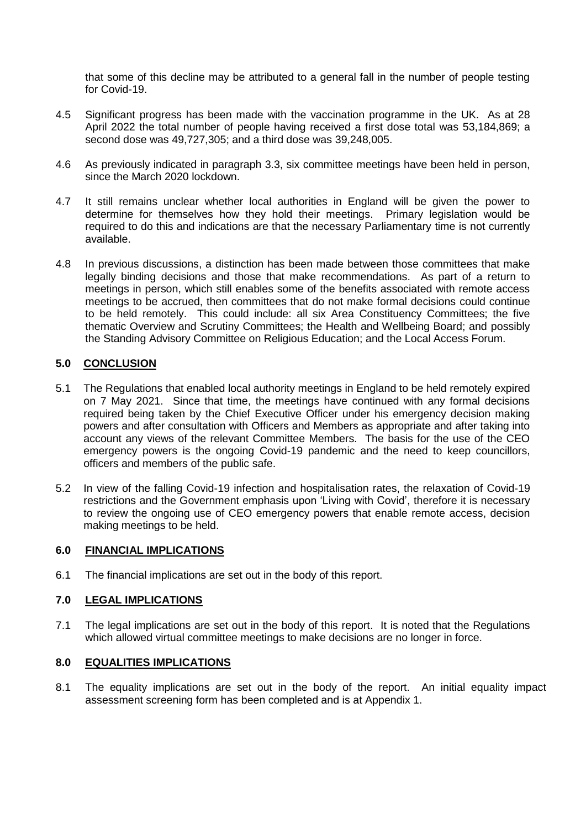that some of this decline may be attributed to a general fall in the number of people testing for Covid-19.

- 4.5 Significant progress has been made with the vaccination programme in the UK. As at 28 April 2022 the total number of people having received a first dose total was 53,184,869; a second dose was 49,727,305; and a third dose was 39,248,005.
- 4.6 As previously indicated in paragraph 3.3, six committee meetings have been held in person, since the March 2020 lockdown.
- 4.7 It still remains unclear whether local authorities in England will be given the power to determine for themselves how they hold their meetings. Primary legislation would be required to do this and indications are that the necessary Parliamentary time is not currently available.
- 4.8 In previous discussions, a distinction has been made between those committees that make legally binding decisions and those that make recommendations. As part of a return to meetings in person, which still enables some of the benefits associated with remote access meetings to be accrued, then committees that do not make formal decisions could continue to be held remotely. This could include: all six Area Constituency Committees; the five thematic Overview and Scrutiny Committees; the Health and Wellbeing Board; and possibly the Standing Advisory Committee on Religious Education; and the Local Access Forum.

### **5.0 CONCLUSION**

- 5.1 The Regulations that enabled local authority meetings in England to be held remotely expired on 7 May 2021. Since that time, the meetings have continued with any formal decisions required being taken by the Chief Executive Officer under his emergency decision making powers and after consultation with Officers and Members as appropriate and after taking into account any views of the relevant Committee Members. The basis for the use of the CEO emergency powers is the ongoing Covid-19 pandemic and the need to keep councillors, officers and members of the public safe.
- 5.2 In view of the falling Covid-19 infection and hospitalisation rates, the relaxation of Covid-19 restrictions and the Government emphasis upon 'Living with Covid', therefore it is necessary to review the ongoing use of CEO emergency powers that enable remote access, decision making meetings to be held.

### **6.0 FINANCIAL IMPLICATIONS**

6.1 The financial implications are set out in the body of this report.

### **7.0 LEGAL IMPLICATIONS**

7.1 The legal implications are set out in the body of this report. It is noted that the Regulations which allowed virtual committee meetings to make decisions are no longer in force.

#### **8.0 EQUALITIES IMPLICATIONS**

8.1 The equality implications are set out in the body of the report. An initial equality impact assessment screening form has been completed and is at Appendix 1.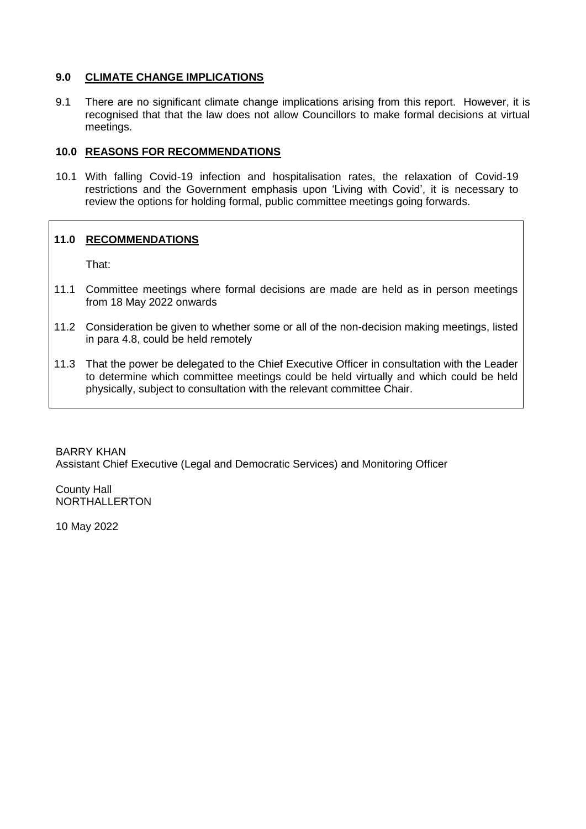### **9.0 CLIMATE CHANGE IMPLICATIONS**

9.1 There are no significant climate change implications arising from this report. However, it is recognised that that the law does not allow Councillors to make formal decisions at virtual meetings.

#### **10.0 REASONS FOR RECOMMENDATIONS**

10.1 With falling Covid-19 infection and hospitalisation rates, the relaxation of Covid-19 restrictions and the Government emphasis upon 'Living with Covid', it is necessary to review the options for holding formal, public committee meetings going forwards.

## **11.0 RECOMMENDATIONS**

That:

- 11.1 Committee meetings where formal decisions are made are held as in person meetings from 18 May 2022 onwards
- 11.2 Consideration be given to whether some or all of the non-decision making meetings, listed in para 4.8, could be held remotely
- 11.3 That the power be delegated to the Chief Executive Officer in consultation with the Leader to determine which committee meetings could be held virtually and which could be held physically, subject to consultation with the relevant committee Chair.

BARRY KHAN Assistant Chief Executive (Legal and Democratic Services) and Monitoring Officer

County Hall NORTHALLERTON

10 May 2022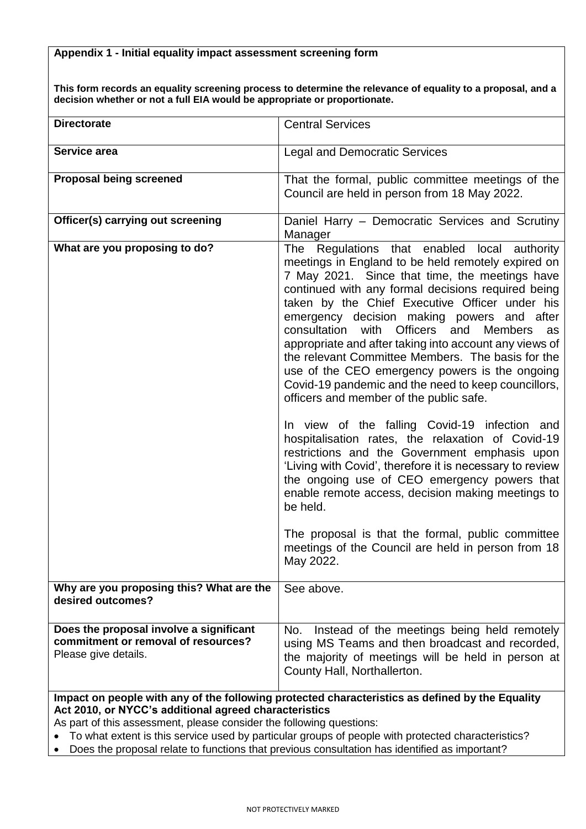**This form records an equality screening process to determine the relevance of equality to a proposal, and a decision whether or not a full EIA would be appropriate or proportionate.**

| <b>Directorate</b>                                                                                                                                       | <b>Central Services</b>                                                                                                                                                                                                                                                                                                                                                                                                                                                                                                                                                                                                                                                                                                                                                                                                                                                                                                                                                                                                                                                                   |  |  |  |  |
|----------------------------------------------------------------------------------------------------------------------------------------------------------|-------------------------------------------------------------------------------------------------------------------------------------------------------------------------------------------------------------------------------------------------------------------------------------------------------------------------------------------------------------------------------------------------------------------------------------------------------------------------------------------------------------------------------------------------------------------------------------------------------------------------------------------------------------------------------------------------------------------------------------------------------------------------------------------------------------------------------------------------------------------------------------------------------------------------------------------------------------------------------------------------------------------------------------------------------------------------------------------|--|--|--|--|
| Service area                                                                                                                                             | <b>Legal and Democratic Services</b>                                                                                                                                                                                                                                                                                                                                                                                                                                                                                                                                                                                                                                                                                                                                                                                                                                                                                                                                                                                                                                                      |  |  |  |  |
| <b>Proposal being screened</b>                                                                                                                           | That the formal, public committee meetings of the<br>Council are held in person from 18 May 2022.                                                                                                                                                                                                                                                                                                                                                                                                                                                                                                                                                                                                                                                                                                                                                                                                                                                                                                                                                                                         |  |  |  |  |
| Officer(s) carrying out screening                                                                                                                        | Daniel Harry - Democratic Services and Scrutiny<br>Manager                                                                                                                                                                                                                                                                                                                                                                                                                                                                                                                                                                                                                                                                                                                                                                                                                                                                                                                                                                                                                                |  |  |  |  |
| What are you proposing to do?                                                                                                                            | The Regulations that enabled local authority<br>meetings in England to be held remotely expired on<br>7 May 2021. Since that time, the meetings have<br>continued with any formal decisions required being<br>taken by the Chief Executive Officer under his<br>emergency decision making powers and after<br>consultation with Officers and Members<br>as<br>appropriate and after taking into account any views of<br>the relevant Committee Members. The basis for the<br>use of the CEO emergency powers is the ongoing<br>Covid-19 pandemic and the need to keep councillors,<br>officers and member of the public safe.<br>In view of the falling Covid-19 infection and<br>hospitalisation rates, the relaxation of Covid-19<br>restrictions and the Government emphasis upon<br>'Living with Covid', therefore it is necessary to review<br>the ongoing use of CEO emergency powers that<br>enable remote access, decision making meetings to<br>be held.<br>The proposal is that the formal, public committee<br>meetings of the Council are held in person from 18<br>May 2022. |  |  |  |  |
| Why are you proposing this? What are the<br>desired outcomes?                                                                                            | See above.                                                                                                                                                                                                                                                                                                                                                                                                                                                                                                                                                                                                                                                                                                                                                                                                                                                                                                                                                                                                                                                                                |  |  |  |  |
| Does the proposal involve a significant<br>commitment or removal of resources?<br>Please give details.                                                   | Instead of the meetings being held remotely<br>No.<br>using MS Teams and then broadcast and recorded,<br>the majority of meetings will be held in person at<br>County Hall, Northallerton.                                                                                                                                                                                                                                                                                                                                                                                                                                                                                                                                                                                                                                                                                                                                                                                                                                                                                                |  |  |  |  |
| Impact on people with any of the following protected characteristics as defined by the Equality<br>Act 2010, or NYCC's additional agreed characteristics |                                                                                                                                                                                                                                                                                                                                                                                                                                                                                                                                                                                                                                                                                                                                                                                                                                                                                                                                                                                                                                                                                           |  |  |  |  |

- As part of this assessment, please consider the following questions:
- To what extent is this service used by particular groups of people with protected characteristics?
- Does the proposal relate to functions that previous consultation has identified as important?